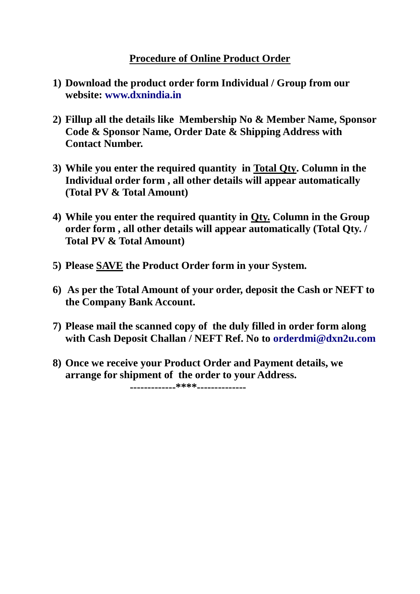## **Procedure of Online Product Order**

- **1) Download the product order form Individual / Group from our website: [www.dxnindia.in](http://www.dxnindia.in/)**
- **2) Fillup all the details like Membership No & Member Name, Sponsor Code & Sponsor Name, Order Date & Shipping Address with Contact Number.**
- **3) While you enter the required quantity in Total Qty. Column in the Individual order form , all other details will appear automatically (Total PV & Total Amount)**
- **4) While you enter the required quantity in Qty. Column in the Group order form , all other details will appear automatically (Total Qty. / Total PV & Total Amount)**
- **5) Please SAVE the Product Order form in your System.**
- **6) As per the Total Amount of your order, deposit the Cash or NEFT to the Company Bank Account.**
- **7) Please mail the scanned copy of the duly filled in order form along with Cash Deposit Challan / NEFT Ref. No to [orderdmi@dxn2u.com](mailto:orderdmi@dxn2u.com)**
- **8) Once we receive your Product Order and Payment details, we arrange for shipment of the order to your Address.**

 **-------------\*\*\*\*--------------**